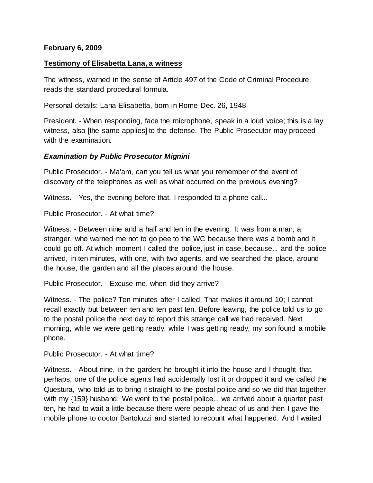## **February 6, 2009**

### **Testimony of Elisabetta Lana, a witness**

The witness, warned in the sense of Article 497 of the Code of Criminal Procedure, reads the standard procedural formula.

Personal details: Lana Elisabetta, born in Rome Dec. 26, 1948

President. - When responding, face the microphone, speak in a loud voice; this is a lay witness, also [the same applies] to the defense. The Public Prosecutor may proceed with the examination.

### *Examination by Public Prosecutor Mignini*

Public Prosecutor. - Ma'am, can you tell us what you remember of the event of discovery of the telephones as well as what occurred on the previous evening?

Witness. - Yes, the evening before that. I responded to a phone call...

Public Prosecutor. - At what time?

Witness. - Between nine and a half and ten in the evening. It was from a man, a stranger, who warned me not to go pee to the WC because there was a bomb and it could go off. At which moment I called the police, just in case, because... and the police arrived, in ten minutes, with one, with two agents, and we searched the place, around the house, the garden and all the places around the house.

Public Prosecutor. - Excuse me, when did they arrive?

Witness. - The police? Ten minutes after I called. That makes it around 10; I cannot recall exactly but between ten and ten past ten. Before leaving, the police told us to go to the postal police the next day to report this strange call we had received. Next morning, while we were getting ready, while I was getting ready, my son found a mobile phone.

Public Prosecutor. - At what time?

Witness. - About nine, in the garden; he brought it into the house and I thought that, perhaps, one of the police agents had accidentally lost it or dropped it and we called the Questura, who told us to bring it straight to the postal police and so we did that together with my {159} husband. We went to the postal police... we arrived about a quarter past ten, he had to wait a little because there were people ahead of us and then I gave the mobile phone to doctor Bartolozzi and started to recount what happened. And I waited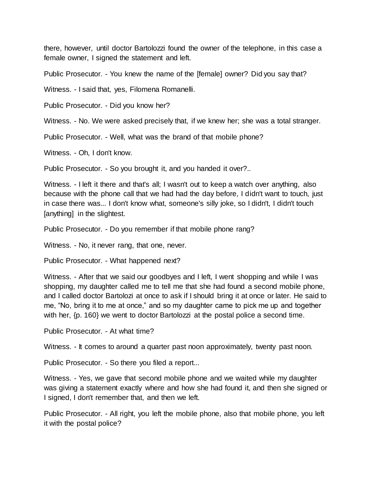there, however, until doctor Bartolozzi found the owner of the telephone, in this case a female owner, I signed the statement and left.

Public Prosecutor. - You knew the name of the [female] owner? Did you say that?

Witness. - I said that, yes, Filomena Romanelli.

Public Prosecutor. - Did you know her?

Witness. - No. We were asked precisely that, if we knew her; she was a total stranger.

Public Prosecutor. - Well, what was the brand of that mobile phone?

Witness. - Oh, I don't know.

Public Prosecutor. - So you brought it, and you handed it over?..

Witness. - I left it there and that's all; I wasn't out to keep a watch over anything, also because with the phone call that we had had the day before, I didn't want to touch, just in case there was... I don't know what, someone's silly joke, so I didn't, I didn't touch [anything] in the slightest.

Public Prosecutor. - Do you remember if that mobile phone rang?

Witness. - No, it never rang, that one, never.

Public Prosecutor. - What happened next?

Witness. - After that we said our goodbyes and I left, I went shopping and while I was shopping, my daughter called me to tell me that she had found a second mobile phone, and I called doctor Bartolozi at once to ask if I should bring it at once or later. He said to me, "No, bring it to me at once," and so my daughter came to pick me up and together with her,  $\{p. 160\}$  we went to doctor Bartolozzi at the postal police a second time.

Public Prosecutor. - At what time?

Witness. - It comes to around a quarter past noon approximately, twenty past noon.

Public Prosecutor. - So there you filed a report...

Witness. - Yes, we gave that second mobile phone and we waited while my daughter was giving a statement exactly where and how she had found it, and then she signed or I signed, I don't remember that, and then we left.

Public Prosecutor. - All right, you left the mobile phone, also that mobile phone, you left it with the postal police?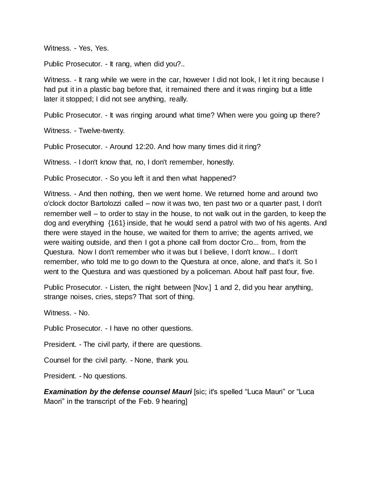Witness. - Yes, Yes.

Public Prosecutor. - It rang, when did you?..

Witness. - It rang while we were in the car, however I did not look, I let it ring because I had put it in a plastic bag before that, it remained there and it was ringing but a little later it stopped; I did not see anything, really.

Public Prosecutor. - It was ringing around what time? When were you going up there?

Witness. - Twelve-twenty.

Public Prosecutor. - Around 12:20. And how many times did it ring?

Witness. - I don't know that, no, I don't remember, honestly.

Public Prosecutor. - So you left it and then what happened?

Witness. - And then nothing, then we went home. We returned home and around two o'clock doctor Bartolozzi called – now it was two, ten past two or a quarter past, I don't remember well – to order to stay in the house, to not walk out in the garden, to keep the dog and everything {161} inside, that he would send a patrol with two of his agents. And there were stayed in the house, we waited for them to arrive; the agents arrived, we were waiting outside, and then I got a phone call from doctor Cro... from, from the Questura. Now I don't remember who it was but I believe, I don't know... I don't remember, who told me to go down to the Questura at once, alone, and that's it. So I went to the Questura and was questioned by a policeman. About half past four, five.

Public Prosecutor. - Listen, the night between [Nov.] 1 and 2, did you hear anything, strange noises, cries, steps? That sort of thing.

Witness. - No.

Public Prosecutor. - I have no other questions.

President. - The civil party, if there are questions.

Counsel for the civil party. - None, thank you.

President. - No questions.

**Examination by the defense counsel Mauri** [sic; it's spelled "Luca Mauri" or "Luca Maori" in the transcript of the Feb. 9 hearing]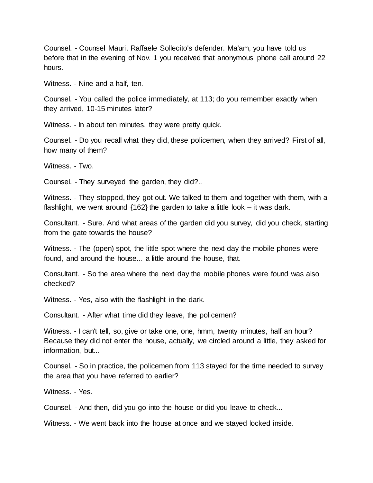Counsel. - Counsel Mauri, Raffaele Sollecito's defender. Ma'am, you have told us before that in the evening of Nov. 1 you received that anonymous phone call around 22 hours.

Witness. - Nine and a half, ten.

Counsel. - You called the police immediately, at 113; do you remember exactly when they arrived, 10-15 minutes later?

Witness. - In about ten minutes, they were pretty quick.

Counsel. - Do you recall what they did, these policemen, when they arrived? First of all, how many of them?

Witness. - Two.

Counsel. - They surveyed the garden, they did?..

Witness. - They stopped, they got out. We talked to them and together with them, with a flashlight, we went around  $\{162\}$  the garden to take a little look – it was dark.

Consultant. - Sure. And what areas of the garden did you survey, did you check, starting from the gate towards the house?

Witness. - The (open) spot, the little spot where the next day the mobile phones were found, and around the house... a little around the house, that.

Consultant. - So the area where the next day the mobile phones were found was also checked?

Witness. - Yes, also with the flashlight in the dark.

Consultant. - After what time did they leave, the policemen?

Witness. - I can't tell, so, give or take one, one, hmm, twenty minutes, half an hour? Because they did not enter the house, actually, we circled around a little, they asked for information, but...

Counsel. - So in practice, the policemen from 113 stayed for the time needed to survey the area that you have referred to earlier?

Witness. - Yes.

Counsel. - And then, did you go into the house or did you leave to check...

Witness. - We went back into the house at once and we stayed locked inside.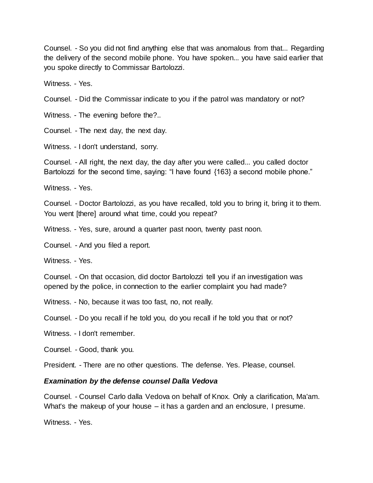Counsel. - So you did not find anything else that was anomalous from that... Regarding the delivery of the second mobile phone. You have spoken... you have said earlier that you spoke directly to Commissar Bartolozzi.

Witness. - Yes.

Counsel. - Did the Commissar indicate to you if the patrol was mandatory or not?

Witness. - The evening before the?..

Counsel. - The next day, the next day.

Witness. - I don't understand, sorry.

Counsel. - All right, the next day, the day after you were called... you called doctor Bartolozzi for the second time, saying: "I have found {163} a second mobile phone."

Witness. - Yes.

Counsel. - Doctor Bartolozzi, as you have recalled, told you to bring it, bring it to them. You went [there] around what time, could you repeat?

Witness. - Yes, sure, around a quarter past noon, twenty past noon.

Counsel. - And you filed a report.

Witness. - Yes.

Counsel. - On that occasion, did doctor Bartolozzi tell you if an investigation was opened by the police, in connection to the earlier complaint you had made?

Witness. - No, because it was too fast, no, not really.

Counsel. - Do you recall if he told you, do you recall if he told you that or not?

Witness. - I don't remember.

Counsel. - Good, thank you.

President. - There are no other questions. The defense. Yes. Please, counsel.

#### *Examination by the defense counsel Dalla Vedova*

Counsel. - Counsel Carlo dalla Vedova on behalf of Knox. Only a clarification, Ma'am. What's the makeup of your house – it has a garden and an enclosure, I presume.

Witness. - Yes.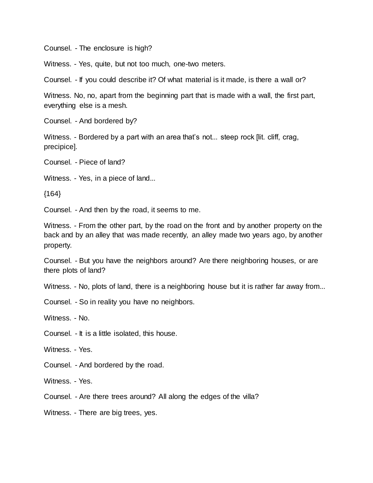Counsel. - The enclosure is high?

Witness. - Yes, quite, but not too much, one-two meters.

Counsel. - If you could describe it? Of what material is it made, is there a wall or?

Witness. No, no, apart from the beginning part that is made with a wall, the first part, everything else is a mesh.

Counsel. - And bordered by?

Witness. - Bordered by a part with an area that's not... steep rock [lit. cliff, crag, precipice].

Counsel. - Piece of land?

Witness. - Yes, in a piece of land...

 ${164}$ 

Counsel. - And then by the road, it seems to me.

Witness. - From the other part, by the road on the front and by another property on the back and by an alley that was made recently, an alley made two years ago, by another property.

Counsel. - But you have the neighbors around? Are there neighboring houses, or are there plots of land?

Witness. - No, plots of land, there is a neighboring house but it is rather far away from...

Counsel. - So in reality you have no neighbors.

Witness. - No.

Counsel. - It is a little isolated, this house.

Witness. - Yes.

Counsel. - And bordered by the road.

Witness. - Yes.

Counsel. - Are there trees around? All along the edges of the villa?

Witness. - There are big trees, yes.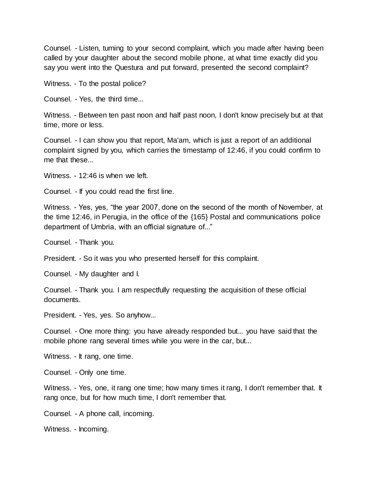Counsel. - Listen, turning to your second complaint, which you made after having been called by your daughter about the second mobile phone, at what time exactly did you say you went into the Questura and put forward, presented the second complaint?

Witness. - To the postal police?

Counsel. - Yes, the third time...

Witness. - Between ten past noon and half past noon, I don't know precisely but at that time, more or less.

Counsel. - I can show you that report, Ma'am, which is just a report of an additional complaint signed by you, which carries the timestamp of 12:46, if you could confirm to me that these...

Witness. - 12:46 is when we left.

Counsel. - If you could read the first line.

Witness. - Yes, yes, "the year 2007, done on the second of the month of November, at the time 12:46, in Perugia, in the office of the {165} Postal and communications police department of Umbria, with an official signature of..."

Counsel. - Thank you.

President. - So it was you who presented herself for this complaint.

Counsel. - My daughter and I.

Counsel. - Thank you. I am respectfully requesting the acquisition of these official documents.

President. - Yes, yes. So anyhow...

Counsel. - One more thing: you have already responded but... you have said that the mobile phone rang several times while you were in the car, but...

Witness. - It rang, one time.

Counsel. - Only one time.

Witness. - Yes, one, it rang one time; how many times it rang, I don't remember that. It rang once, but for how much time, I don't remember that.

Counsel. - A phone call, incoming.

Witness. - Incoming.